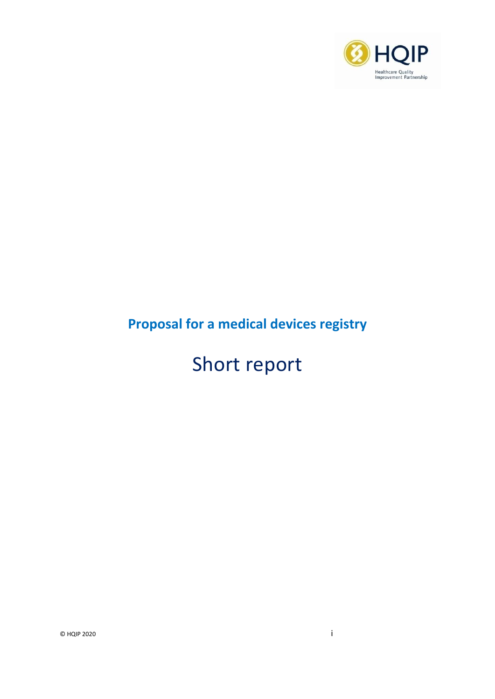

## **Proposal for a medical devices registry**

# Short report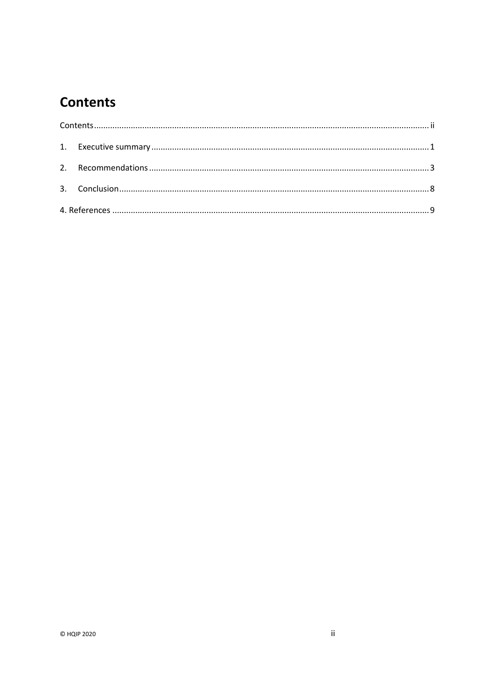## <span id="page-1-0"></span>**Contents**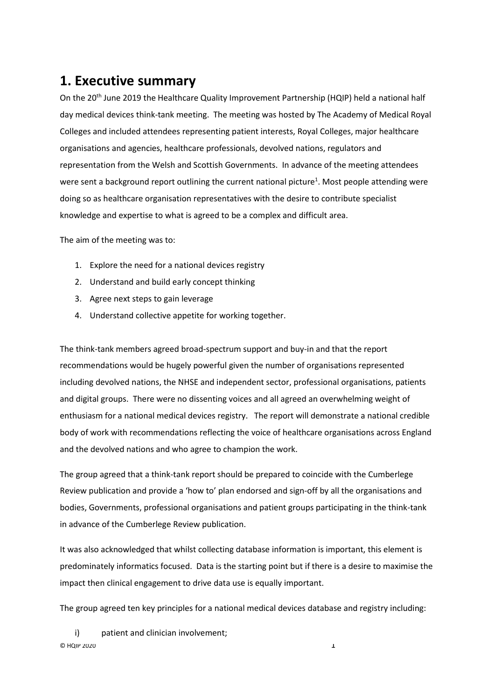#### <span id="page-2-0"></span>**1. Executive summary**

On the 20<sup>th</sup> June 2019 the Healthcare Quality Improvement Partnership (HQIP) held a national half day medical devices think-tank meeting. The meeting was hosted by The Academy of Medical Royal Colleges and included attendees representing patient interests, Royal Colleges, major healthcare organisations and agencies, healthcare professionals, devolved nations, regulators and representation from the Welsh and Scottish Governments. In advance of the meeting attendees were sent a background report outlining the current national picture<sup>1</sup>. Most people attending were doing so as healthcare organisation representatives with the desire to contribute specialist knowledge and expertise to what is agreed to be a complex and difficult area.

The aim of the meeting was to:

- 1. Explore the need for a national devices registry
- 2. Understand and build early concept thinking
- 3. Agree next steps to gain leverage
- 4. Understand collective appetite for working together.

The think-tank members agreed broad-spectrum support and buy-in and that the report recommendations would be hugely powerful given the number of organisations represented including devolved nations, the NHSE and independent sector, professional organisations, patients and digital groups. There were no dissenting voices and all agreed an overwhelming weight of enthusiasm for a national medical devices registry. The report will demonstrate a national credible body of work with recommendations reflecting the voice of healthcare organisations across England and the devolved nations and who agree to champion the work.

The group agreed that a think-tank report should be prepared to coincide with the Cumberlege Review publication and provide a 'how to' plan endorsed and sign-off by all the organisations and bodies, Governments, professional organisations and patient groups participating in the think-tank in advance of the Cumberlege Review publication.

It was also acknowledged that whilst collecting database information is important, this element is predominately informatics focused. Data is the starting point but if there is a desire to maximise the impact then clinical engagement to drive data use is equally important.

The group agreed ten key principles for a national medical devices database and registry including:

 $\heartsuit$  HQIP 2020  $\qquad \qquad \Box$ i) patient and clinician involvement;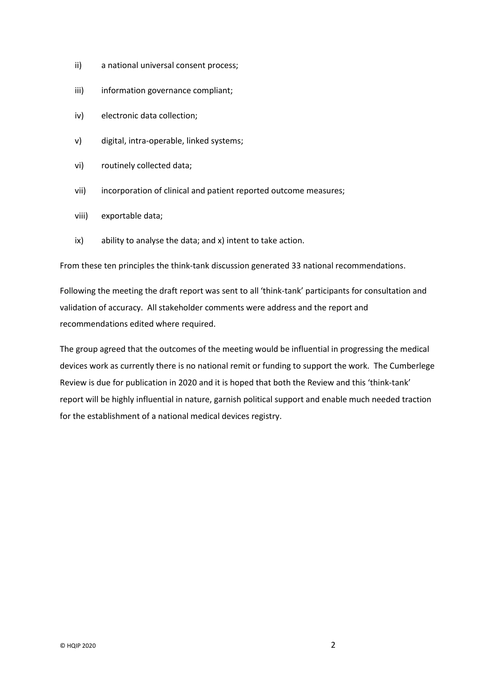- ii) a national universal consent process;
- iii) information governance compliant;
- iv) electronic data collection;
- v) digital, intra-operable, linked systems;
- vi) routinely collected data;
- vii) incorporation of clinical and patient reported outcome measures;
- viii) exportable data;
- ix) ability to analyse the data; and x) intent to take action.

From these ten principles the think-tank discussion generated 33 national recommendations.

Following the meeting the draft report was sent to all 'think-tank' participants for consultation and validation of accuracy. All stakeholder comments were address and the report and recommendations edited where required.

The group agreed that the outcomes of the meeting would be influential in progressing the medical devices work as currently there is no national remit or funding to support the work. The Cumberlege Review is due for publication in 2020 and it is hoped that both the Review and this 'think-tank' report will be highly influential in nature, garnish political support and enable much needed traction for the establishment of a national medical devices registry.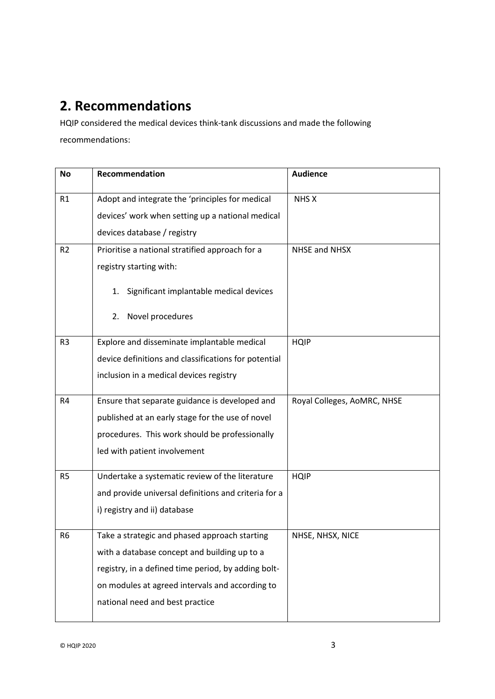## <span id="page-4-0"></span>**2. Recommendations**

HQIP considered the medical devices think-tank discussions and made the following recommendations:

| <b>No</b>      | Recommendation                                       | <b>Audience</b>             |
|----------------|------------------------------------------------------|-----------------------------|
| R1             | Adopt and integrate the 'principles for medical      | NHS X                       |
|                | devices' work when setting up a national medical     |                             |
|                | devices database / registry                          |                             |
| R <sub>2</sub> | Prioritise a national stratified approach for a      | NHSE and NHSX               |
|                | registry starting with:                              |                             |
|                | 1. Significant implantable medical devices           |                             |
|                | 2. Novel procedures                                  |                             |
| R <sub>3</sub> | Explore and disseminate implantable medical          | <b>HQIP</b>                 |
|                | device definitions and classifications for potential |                             |
|                | inclusion in a medical devices registry              |                             |
| R4             | Ensure that separate guidance is developed and       | Royal Colleges, AoMRC, NHSE |
|                | published at an early stage for the use of novel     |                             |
|                | procedures. This work should be professionally       |                             |
|                | led with patient involvement                         |                             |
| R <sub>5</sub> | Undertake a systematic review of the literature      | <b>HQIP</b>                 |
|                | and provide universal definitions and criteria for a |                             |
|                | i) registry and ii) database                         |                             |
| R <sub>6</sub> | Take a strategic and phased approach starting        | NHSE, NHSX, NICE            |
|                | with a database concept and building up to a         |                             |
|                | registry, in a defined time period, by adding bolt-  |                             |
|                | on modules at agreed intervals and according to      |                             |
|                | national need and best practice                      |                             |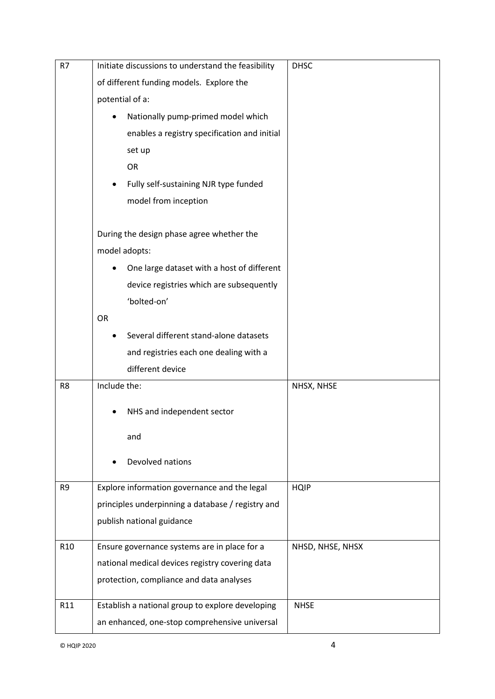| R7              | Initiate discussions to understand the feasibility | <b>DHSC</b>      |
|-----------------|----------------------------------------------------|------------------|
|                 | of different funding models. Explore the           |                  |
|                 | potential of a:                                    |                  |
|                 | Nationally pump-primed model which                 |                  |
|                 | enables a registry specification and initial       |                  |
|                 | set up                                             |                  |
|                 | <b>OR</b>                                          |                  |
|                 | Fully self-sustaining NJR type funded              |                  |
|                 | model from inception                               |                  |
|                 |                                                    |                  |
|                 | During the design phase agree whether the          |                  |
|                 | model adopts:                                      |                  |
|                 | One large dataset with a host of different         |                  |
|                 | device registries which are subsequently           |                  |
|                 | 'bolted-on'                                        |                  |
|                 | <b>OR</b>                                          |                  |
|                 | Several different stand-alone datasets             |                  |
|                 | and registries each one dealing with a             |                  |
|                 | different device                                   |                  |
| R8              | Include the:                                       | NHSX, NHSE       |
|                 | NHS and independent sector                         |                  |
|                 |                                                    |                  |
|                 | and                                                |                  |
|                 | Devolved nations                                   |                  |
|                 |                                                    |                  |
| R9              | Explore information governance and the legal       | <b>HQIP</b>      |
|                 | principles underpinning a database / registry and  |                  |
|                 | publish national guidance                          |                  |
| R <sub>10</sub> | Ensure governance systems are in place for a       | NHSD, NHSE, NHSX |
|                 | national medical devices registry covering data    |                  |
|                 | protection, compliance and data analyses           |                  |
|                 |                                                    |                  |
| R11             | Establish a national group to explore developing   | <b>NHSE</b>      |
|                 | an enhanced, one-stop comprehensive universal      |                  |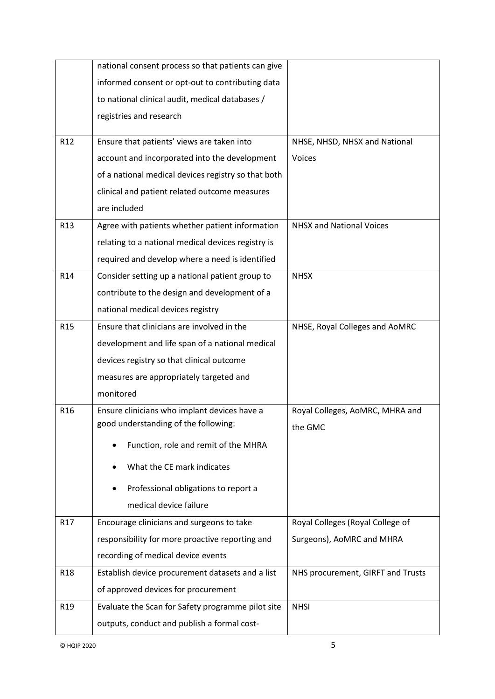|                 | national consent process so that patients can give  |                                   |
|-----------------|-----------------------------------------------------|-----------------------------------|
|                 | informed consent or opt-out to contributing data    |                                   |
|                 | to national clinical audit, medical databases /     |                                   |
|                 | registries and research                             |                                   |
| R12             | Ensure that patients' views are taken into          | NHSE, NHSD, NHSX and National     |
|                 | account and incorporated into the development       | Voices                            |
|                 | of a national medical devices registry so that both |                                   |
|                 | clinical and patient related outcome measures       |                                   |
|                 | are included                                        |                                   |
| R <sub>13</sub> | Agree with patients whether patient information     | <b>NHSX and National Voices</b>   |
|                 | relating to a national medical devices registry is  |                                   |
|                 | required and develop where a need is identified     |                                   |
| R14             | Consider setting up a national patient group to     | <b>NHSX</b>                       |
|                 | contribute to the design and development of a       |                                   |
|                 | national medical devices registry                   |                                   |
| R <sub>15</sub> | Ensure that clinicians are involved in the          | NHSE, Royal Colleges and AoMRC    |
|                 | development and life span of a national medical     |                                   |
|                 | devices registry so that clinical outcome           |                                   |
|                 | measures are appropriately targeted and             |                                   |
|                 | monitored                                           |                                   |
| R <sub>16</sub> | Ensure clinicians who implant devices have a        | Royal Colleges, AoMRC, MHRA and   |
|                 | good understanding of the following:                | the GMC                           |
|                 | Function, role and remit of the MHRA                |                                   |
|                 | What the CE mark indicates                          |                                   |
|                 | Professional obligations to report a                |                                   |
|                 | medical device failure                              |                                   |
| R17             | Encourage clinicians and surgeons to take           | Royal Colleges (Royal College of  |
|                 | responsibility for more proactive reporting and     | Surgeons), AoMRC and MHRA         |
|                 | recording of medical device events                  |                                   |
| R <sub>18</sub> | Establish device procurement datasets and a list    | NHS procurement, GIRFT and Trusts |
|                 | of approved devices for procurement                 |                                   |
| R <sub>19</sub> | Evaluate the Scan for Safety programme pilot site   | <b>NHSI</b>                       |
|                 | outputs, conduct and publish a formal cost-         |                                   |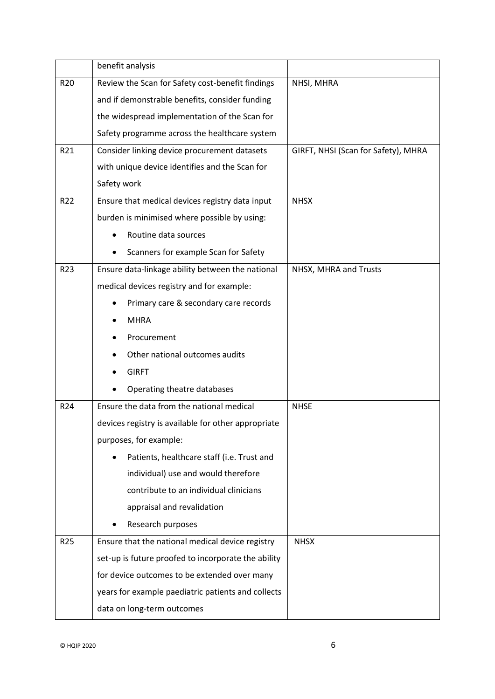|                 | benefit analysis                                    |                                     |
|-----------------|-----------------------------------------------------|-------------------------------------|
| R <sub>20</sub> | Review the Scan for Safety cost-benefit findings    | NHSI, MHRA                          |
|                 | and if demonstrable benefits, consider funding      |                                     |
|                 | the widespread implementation of the Scan for       |                                     |
|                 | Safety programme across the healthcare system       |                                     |
| R21             | Consider linking device procurement datasets        | GIRFT, NHSI (Scan for Safety), MHRA |
|                 | with unique device identifies and the Scan for      |                                     |
|                 | Safety work                                         |                                     |
| R22             | Ensure that medical devices registry data input     | <b>NHSX</b>                         |
|                 | burden is minimised where possible by using:        |                                     |
|                 | Routine data sources                                |                                     |
|                 | Scanners for example Scan for Safety                |                                     |
| R <sub>23</sub> | Ensure data-linkage ability between the national    | NHSX, MHRA and Trusts               |
|                 | medical devices registry and for example:           |                                     |
|                 | Primary care & secondary care records               |                                     |
|                 | <b>MHRA</b>                                         |                                     |
|                 | Procurement                                         |                                     |
|                 | Other national outcomes audits                      |                                     |
|                 | <b>GIRFT</b>                                        |                                     |
|                 | Operating theatre databases                         |                                     |
| R24             | Ensure the data from the national medical           | <b>NHSE</b>                         |
|                 | devices registry is available for other appropriate |                                     |
|                 | purposes, for example:                              |                                     |
|                 | Patients, healthcare staff (i.e. Trust and          |                                     |
|                 | individual) use and would therefore                 |                                     |
|                 | contribute to an individual clinicians              |                                     |
|                 | appraisal and revalidation                          |                                     |
|                 | Research purposes                                   |                                     |
| R <sub>25</sub> | Ensure that the national medical device registry    | <b>NHSX</b>                         |
|                 | set-up is future proofed to incorporate the ability |                                     |
|                 | for device outcomes to be extended over many        |                                     |
|                 | years for example paediatric patients and collects  |                                     |
|                 | data on long-term outcomes                          |                                     |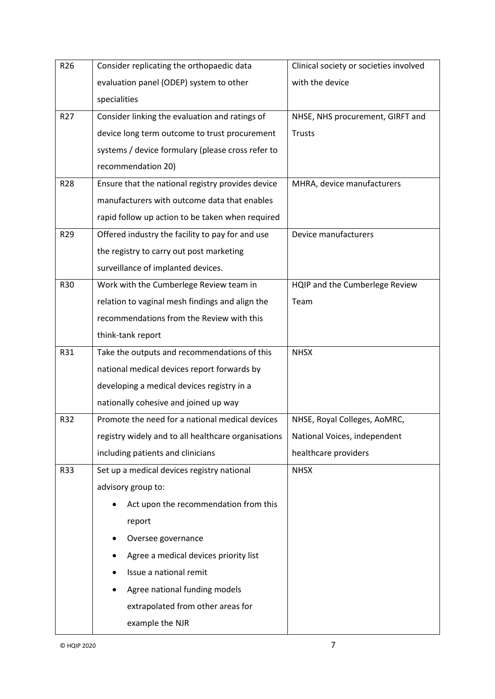| R26             | Consider replicating the orthopaedic data           | Clinical society or societies involved |
|-----------------|-----------------------------------------------------|----------------------------------------|
|                 | evaluation panel (ODEP) system to other             | with the device                        |
|                 | specialities                                        |                                        |
| R <sub>27</sub> | Consider linking the evaluation and ratings of      | NHSE, NHS procurement, GIRFT and       |
|                 | device long term outcome to trust procurement       | <b>Trusts</b>                          |
|                 | systems / device formulary (please cross refer to   |                                        |
|                 | recommendation 20)                                  |                                        |
| R <sub>28</sub> | Ensure that the national registry provides device   | MHRA, device manufacturers             |
|                 | manufacturers with outcome data that enables        |                                        |
|                 | rapid follow up action to be taken when required    |                                        |
| R29             | Offered industry the facility to pay for and use    | Device manufacturers                   |
|                 | the registry to carry out post marketing            |                                        |
|                 | surveillance of implanted devices.                  |                                        |
| R30             | Work with the Cumberlege Review team in             | HQIP and the Cumberlege Review         |
|                 | relation to vaginal mesh findings and align the     | Team                                   |
|                 | recommendations from the Review with this           |                                        |
|                 | think-tank report                                   |                                        |
| R31             | Take the outputs and recommendations of this        | <b>NHSX</b>                            |
|                 | national medical devices report forwards by         |                                        |
|                 | developing a medical devices registry in a          |                                        |
|                 | nationally cohesive and joined up way               |                                        |
| R32             | Promote the need for a national medical devices     | NHSE, Royal Colleges, AoMRC,           |
|                 | registry widely and to all healthcare organisations | National Voices, independent           |
|                 | including patients and clinicians                   | healthcare providers                   |
| R33             | Set up a medical devices registry national          | <b>NHSX</b>                            |
|                 | advisory group to:                                  |                                        |
|                 | Act upon the recommendation from this               |                                        |
|                 | report                                              |                                        |
|                 | Oversee governance                                  |                                        |
|                 | Agree a medical devices priority list               |                                        |
|                 | Issue a national remit                              |                                        |
|                 | Agree national funding models                       |                                        |
|                 | extrapolated from other areas for                   |                                        |
|                 | example the NJR                                     |                                        |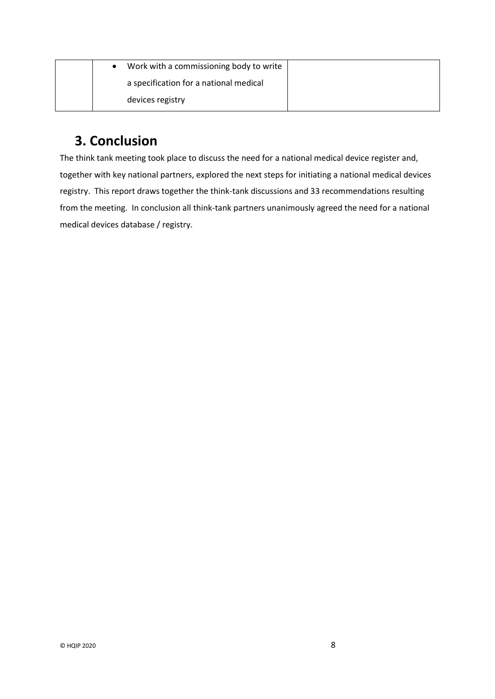| Work with a commissioning body to write |  |
|-----------------------------------------|--|
| a specification for a national medical  |  |
| devices registry                        |  |

### <span id="page-9-0"></span>**3. Conclusion**

The think tank meeting took place to discuss the need for a national medical device register and, together with key national partners, explored the next steps for initiating a national medical devices registry. This report draws together the think-tank discussions and 33 recommendations resulting from the meeting. In conclusion all think-tank partners unanimously agreed the need for a national medical devices database / registry.